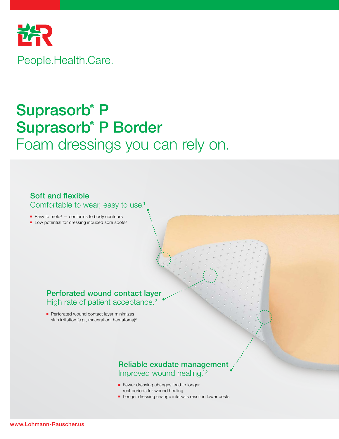

# Suprasorb<sup>®</sup> P Suprasorb® P Border Foam dressings you can rely on.

## Soft and flexible Comfortable to wear, easy to use.<sup>1</sup>

- Easy to mold<sup>2</sup>  $-$  conforms to body contours
- Low potential for dressing induced sore spots<sup>2</sup>

# Perforated wound contact layer High rate of patient acceptance.<sup>2</sup>

■ Perforated wound contact layer minimizes skin irritation (e.g., maceration, hematoma)<sup>2</sup>

## Reliable exudate management Improved wound healing.<sup>1,2</sup>

- Fewer dressing changes lead to longer rest periods for wound healing
- Longer dressing change intervals result in lower costs